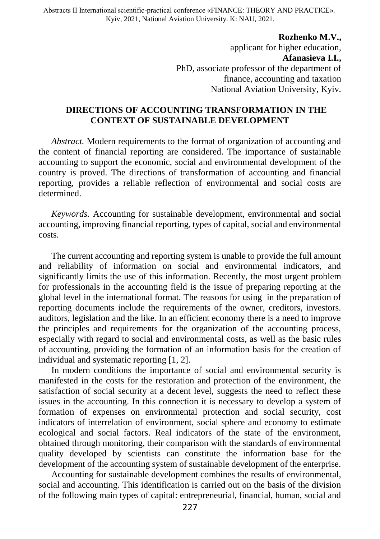Abstracts ІІ International scientific-practical conference «FINANCE: THEORY AND PRACTICE». Kyiv, 2021, National Aviation University. K: NAU, 2021.

> **Rozhenko M.V.,** applicant for higher education, **Afanasieva I.I.,** PhD, associate professor of the department of finance, accounting and taxation National Aviation University, Kyiv.

## **DIRECTIONS OF ACCOUNTING TRANSFORMATION IN THE CONTEXT OF SUSTAINABLE DEVELOPMENT**

*Abstract.* Modern requirements to the format of organization of accounting and the content of financial reporting are considered. The importance of sustainable accounting to support the economic, social and environmental development of the country is proved. The directions of transformation of accounting and financial reporting, provides a reliable reflection of environmental and social costs are determined.

*Keywords.* Accounting for sustainable development, environmental and social accounting, improving financial reporting, types of capital, social and environmental costs.

The current accounting and reporting system is unable to provide the full amount and reliability of information on social and environmental indicators, and significantly limits the use of this information. Recently, the most urgent problem for professionals in the accounting field is the issue of preparing reporting at the global level in the international format. The reasons for using in the preparation of reporting documents include the requirements of the owner, creditors, investors. auditors, legislation and the like. In an efficient economy there is a need to improve the principles and requirements for the organization of the accounting process, especially with regard to social and environmental costs, as well as the basic rules of accounting, providing the formation of an information basis for the creation of individual and systematic reporting [1, 2].

In modern conditions the importance of social and environmental security is manifested in the costs for the restoration and protection of the environment, the satisfaction of social security at a decent level, suggests the need to reflect these issues in the accounting. In this connection it is necessary to develop a system of formation of expenses on environmental protection and social security, cost indicators of interrelation of environment, social sphere and economy to estimate ecological and social factors. Real indicators of the state of the environment, obtained through monitoring, their comparison with the standards of environmental quality developed by scientists can constitute the information base for the development of the accounting system of sustainable development of the enterprise.

Accounting for sustainable development combines the results of environmental, social and accounting. This identification is carried out on the basis of the division of the following main types of capital: entrepreneurial, financial, human, social and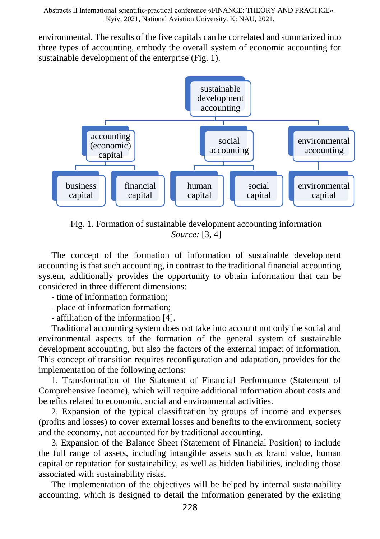environmental. The results of the five capitals can be correlated and summarized into three types of accounting, embody the overall system of economic accounting for sustainable development of the enterprise (Fig. 1).



Fig. 1. Formation of sustainable development accounting information *Source:* [3, 4]

The concept of the formation of information of sustainable development accounting is that such accounting, in contrast to the traditional financial accounting system, additionally provides the opportunity to obtain information that can be considered in three different dimensions:

- time of information formation;

- place of information formation;

- affiliation of the information [4].

Traditional accounting system does not take into account not only the social and environmental aspects of the formation of the general system of sustainable development accounting, but also the factors of the external impact of information. This concept of transition requires reconfiguration and adaptation, provides for the implementation of the following actions:

1. Transformation of the Statement of Financial Performance (Statement of Comprehensive Income), which will require additional information about costs and benefits related to economic, social and environmental activities.

2. Expansion of the typical classification by groups of income and expenses (profits and losses) to cover external losses and benefits to the environment, society and the economy, not accounted for by traditional accounting.

3. Expansion of the Balance Sheet (Statement of Financial Position) to include the full range of assets, including intangible assets such as brand value, human capital or reputation for sustainability, as well as hidden liabilities, including those associated with sustainability risks.

The implementation of the objectives will be helped by internal sustainability accounting, which is designed to detail the information generated by the existing